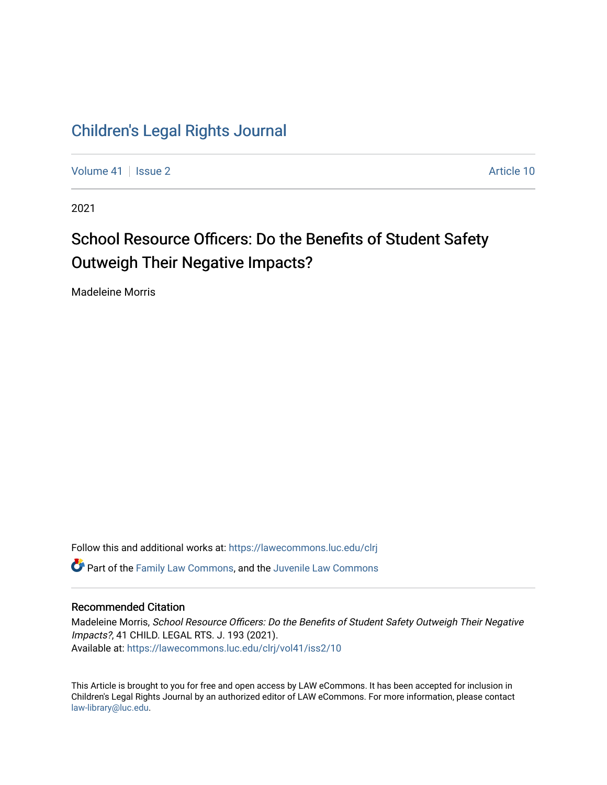## [Children's Legal Rights Journal](https://lawecommons.luc.edu/clrj)

[Volume 41](https://lawecommons.luc.edu/clrj/vol41) | [Issue 2](https://lawecommons.luc.edu/clrj/vol41/iss2) Article 10

2021

# School Resource Officers: Do the Benefits of Student Safety Outweigh Their Negative Impacts?

Madeleine Morris

Follow this and additional works at: [https://lawecommons.luc.edu/clrj](https://lawecommons.luc.edu/clrj?utm_source=lawecommons.luc.edu%2Fclrj%2Fvol41%2Fiss2%2F10&utm_medium=PDF&utm_campaign=PDFCoverPages) **C** Part of the [Family Law Commons,](http://network.bepress.com/hgg/discipline/602?utm_source=lawecommons.luc.edu%2Fclrj%2Fvol41%2Fiss2%2F10&utm_medium=PDF&utm_campaign=PDFCoverPages) and the Juvenile Law Commons

#### Recommended Citation

Madeleine Morris, School Resource Officers: Do the Benefits of Student Safety Outweigh Their Negative Impacts?, 41 CHILD. LEGAL RTS. J. 193 (2021). Available at: [https://lawecommons.luc.edu/clrj/vol41/iss2/10](https://lawecommons.luc.edu/clrj/vol41/iss2/10?utm_source=lawecommons.luc.edu%2Fclrj%2Fvol41%2Fiss2%2F10&utm_medium=PDF&utm_campaign=PDFCoverPages) 

This Article is brought to you for free and open access by LAW eCommons. It has been accepted for inclusion in Children's Legal Rights Journal by an authorized editor of LAW eCommons. For more information, please contact [law-library@luc.edu](mailto:law-library@luc.edu).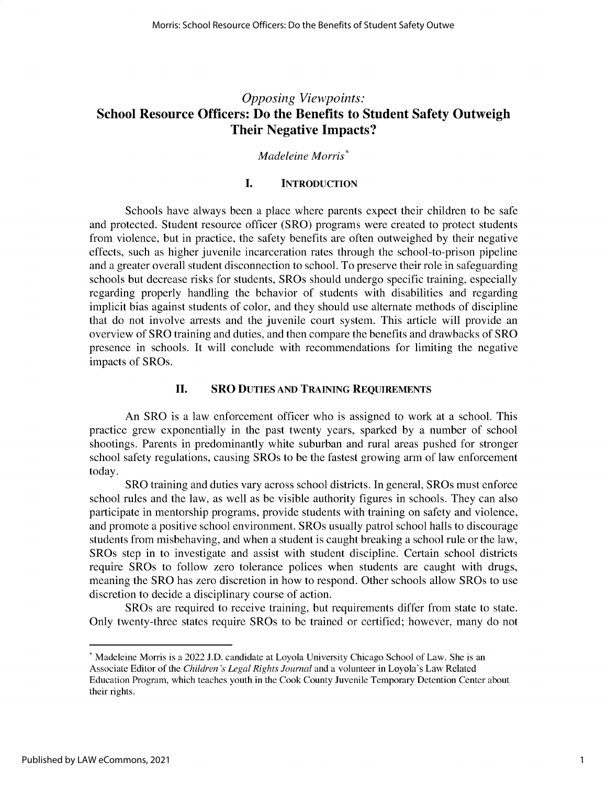### *Opposing Viewpoints:* **School Resource Officers: Do the Benefits to Student Safety Outweigh Their Negative Impacts?**

#### *Madeleine Morris\**

#### **I. INTRODUCTION**

Schools have always been a place where parents expect their children to be safe and protected. Student resource officer (SRO) programs were created to protect students from violence, but in practice, the safety benefits are often outweighed by their negative effects, such as higher juvenile incarceration rates through the school-to-prison pipeline and a greater overall student disconnection to school. To preserve their role in safeguarding schools but decrease risks for students, SROs should undergo specific training, especially regarding properly handling the behavior of students with disabilities and regarding implicit bias against students of color, and they should use alternate methods of discipline that do not involve arrests and the juvenile court system. This article will provide an overview of SRO training and duties, and then compare the benefits and drawbacks of SRO presence in schools. It will conclude with recommendations for limiting the negative impacts of SROs.

#### **II. SRO DUTIES AND TRAINING REQUIREMENTS**

An SRO is a law enforcement officer who is assigned to work at a school. This practice grew exponentially in the past twenty years, sparked by a number of school shootings. Parents in predominantly white suburban and rural areas pushed for stronger school safety regulations, causing SROs to be the fastest growing arm of law enforcement today.

SRO training and duties vary across school districts. In general, SROs must enforce school rules and the law, as well as be visible authority figures in schools. They can also participate in mentorship programs, provide students with training on safety and violence, and promote a positive school environment. SROs usually patrol school halls to discourage students from misbehaving, and when a student is caught breaking a school rule or the law, SROs step in to investigate and assist with student discipline. Certain school districts require SROs to follow zero tolerance polices when students are caught with drugs, meaning the SRO has zero discretion in how to respond. Other schools allow SROs to use discretion to decide a disciplinary course of action.

SROs are required to receive training, but requirements differ from state to state. Only twenty-three states require SROs to be trained or certified; however, many do not

<sup>\*</sup> Madeleine Morris is a 2022 **J.D.** candidate at Loyola University Chicago School of Law. She is an Associate Editor of the *Children 's Legal Rights Journal* and a volunteer in Loyola's Law Related Education Program, which teaches youth in the Cook County Juvenile Temporary Detention Center about their rights.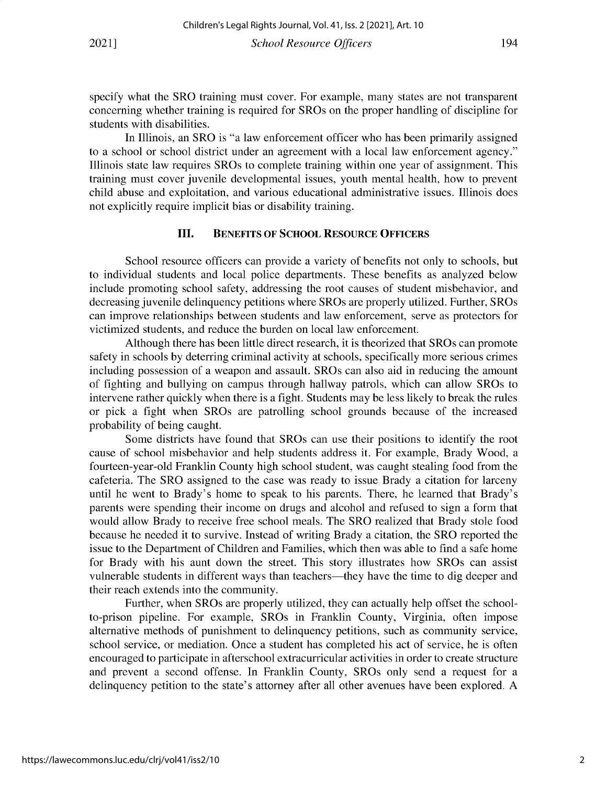specify what the SRO training must cover. For example, many states are not transparent concerning whether training is required for SROs on the proper handling of discipline for students with disabilities.

In Illinois, an SRO is "a law enforcement officer who has been primarily assigned to a school or school district under an agreement with a local law enforcement agency." Illinois state law requires SROs to complete training within one year of assignment. This training must cover juvenile developmental issues, youth mental health, how to prevent child abuse and exploitation, and various educational administrative issues. Illinois does not explicitly require implicit bias or disability training.

#### **III. BENEFITS OF SCHOOL RESOURCE OFFICERS**

School resource officers can provide a variety of benefits not only to schools, but to individual students and local police departments. These benefits as analyzed below include promoting school safety, addressing the root causes of student misbehavior, and decreasing juvenile delinquency petitions where SROs are properly utilized. Further, SROs can improve relationships between students and law enforcement, serve as protectors for victimized students, and reduce the burden on local law enforcement.

Although there has been little direct research, it is theorized that SROs can promote safety in schools by deterring criminal activity at schools, specifically more serious crimes including possession of a weapon and assault. SROs can also aid in reducing the amount of fighting and bullying on campus through hallway patrols, which can allow SROs to intervene rather quickly when there is a fight. Students may be less likely to break the rules or pick a fight when SROs are patrolling school grounds because of the increased probability of being caught.

Some districts have found that SROs can use their positions to identify the root cause of school misbehavior and help students address it. For example, Brady Wood, a fourteen-year-old Franklin County high school student, was caught stealing food from the cafeteria. The SRO assigned to the case was ready to issue Brady a citation for larceny until he went to Brady's home to speak to his parents. There, he learned that Brady's parents were spending their income on drugs and alcohol and refused to sign a form that would allow Brady to receive free school meals. The SRO realized that Brady stole food because he needed it to survive. Instead of writing Brady a citation, the SRO reported the issue to the Department of Children and Families, which then was able to find a safe home for Brady with his aunt down the street. This story illustrates how SROs can assist vulnerable students in different ways than teachers-they have the time to dig deeper and their reach extends into the community.

Further, when SROs are properly utilized, they can actually help offset the schoolto-prison pipeline. For example, SROs in Franklin County, Virginia, often impose alternative methods of punishment to delinquency petitions, such as community service, school service, or mediation. Once a student has completed his act of service, he is often encouraged to participate in afterschool extracurricular activities in order to create structure and prevent a second offense. In Franklin County, SROs only send a request for a delinquency petition to the state's attorney after all other avenues have been explored. A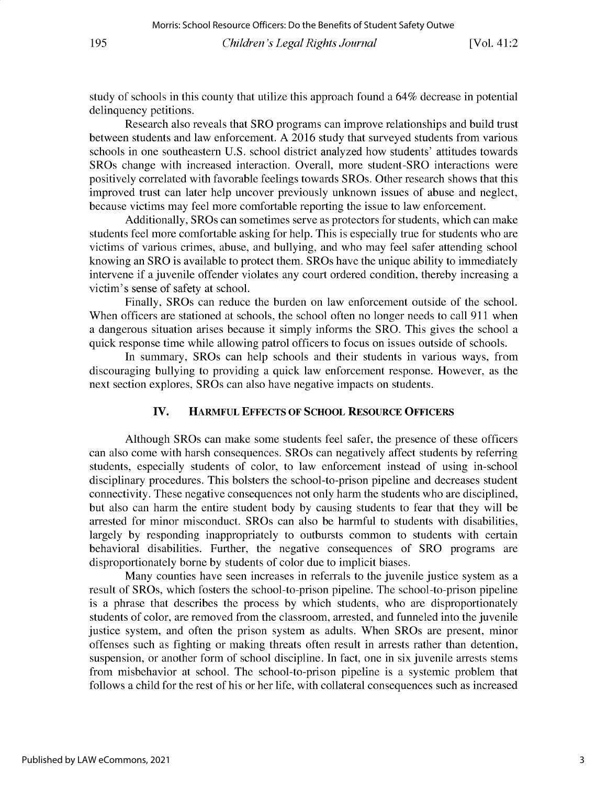study of schools in this county that utilize this approach found a 64% decrease in potential **delinquency petitions.**

**Research also reveals that SRO programs can improve relationships and build trust between students and law enforcement. A 2016 study that surveyed students from various schools in one southeastern U.S. school district analyzed how students' attitudes towards SROs change with increased interaction. Overall, more student-SRO interactions were** positively correlated with favorable feelings towards SROs. Other research shows that this **improved trust can later help uncover previously unknown issues of abuse and neglect, because victims may feel more comfortable reporting the issue to law enforcement.**

**Additionally, SROs can sometimes serve as protectors for students, which can make students feel more comfortable asking for help. This is especially true for students who are victims of various crimes, abuse, and bullying, and who may feel safer attending school knowing an SRO is available to protect them. SROs have the unique ability to immediately intervene if a juvenile offender violates any court ordered condition, thereby increasing a** victim's **sense of** safety at school.

**Finally, SROs can reduce the burden on law enforcement outside of the school. When officers are stationed at schools, the school often no longer needs to call 911 when a dangerous situation arises because it simply informs the SRO. This gives the school a quick response time while allowing patrol officers to focus on issues outside of schools.**

**In summary, SROs can help schools and their students in various ways, from discouraging bullying to providing a quick law enforcement response. However, as the next section explores, SROs can also have negative impacts on students.**

#### **IV. HARMFUL EFFECTS OF SCHOOL RESOURCE OFFICERS**

**Although SROs can make some students feel safer, the presence of these officers can also come with harsh consequences. SROs can negatively affect students by referring students, especially students of color, to law enforcement instead of using in-school disciplinary procedures. This bolsters the school-to-prison pipeline and decreases student** connectivity. These negative consequences not only harm the students who are disciplined, **but also can harm the entire student body by causing students to fear that they will be arrested for minor misconduct. SROs can also be harmful to students with disabilities,** largely by responding inappropriately to outbursts common to students with certain **behavioral disabilities. Further, the negative consequences of SRO programs are** disproportionately borne by students of color due to implicit biases.

**Many counties have seen increases in referrals to the juvenile justice system as a** result of SROs, which fosters the school-to-prison pipeline. The school-to-prison pipeline is a phrase that describes the process by which students, who are disproportionately **students of color, are removed from the classroom, arrested, and funneled into the juvenile justice system, and often the prison system as adults. When SROs are present, minor offenses such as fighting or making threats often result in arrests rather than detention, suspension, or another form of school discipline. In fact, one in six juvenile arrests stems** from misbehavior at school. The school-to-prison pipeline is a systemic problem that follows a child for the rest of his or her life, with collateral consequences such as increased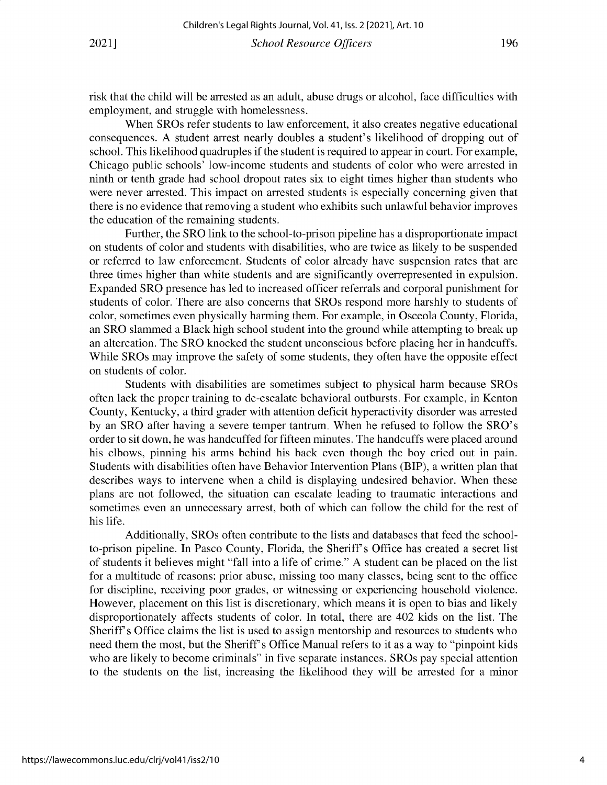risk that the child will be arrested as an adult, abuse drugs or alcohol, face difficulties with employment, and struggle with homelessness.

When SROs refer students to law enforcement, it also creates negative educational consequences. A student arrest nearly doubles a student's likelihood of dropping out of school. This likelihood quadruples if the student is required to appear in court. For example, Chicago public schools' low-income students and students of color who were arrested in ninth or tenth grade had school dropout rates six to eight times higher than students who were never arrested. This impact on arrested students is especially concerning given that there is no evidence that removing a student who exhibits such unlawful behavior improves the education of the remaining students.

Further, the SRO link to the school-to-prison pipeline has a disproportionate impact on students of color and students with disabilities, who are twice as likely to be suspended or referred to law enforcement. Students of color already have suspension rates that are three times higher than white students and are significantly overrepresented in expulsion. Expanded SRO presence has led to increased officer referrals and corporal punishment for students of color. There are also concerns that SROs respond more harshly to students of color, sometimes even physically harming them. For example, in Osceola County, Florida, an SRO slammed a Black high school student into the ground while attempting to break up an altercation. The SRO knocked the student unconscious before placing her in handcuffs. While SROs may improve the safety of some students, they often have the opposite effect on students of color.

Students with disabilities are sometimes subject to physical harm because SROs often lack the proper training to de-escalate behavioral outbursts. For example, in Kenton County, Kentucky, a third grader with attention deficit hyperactivity disorder was arrested by an SRO after having a severe temper tantrum. When he refused to follow the SRO's order to sit down, he was handcuffed for fifteen minutes. The handcuffs were placed around his elbows, pinning his arms behind his back even though the boy cried out in pain. Students with disabilities often have Behavior Intervention Plans (BIP), a written plan that describes ways to intervene when a child is displaying undesired behavior. When these plans are not followed, the situation can escalate leading to traumatic interactions and sometimes even an unnecessary arrest, both of which can follow the child for the rest of his life.

Additionally, SROs often contribute to the lists and databases that feed the schoolto-prison pipeline. In Pasco County, Florida, the Sheriff's Office has created a secret list of students it believes might "fall into a life of crime." A student can be placed on the list for a multitude of reasons: prior abuse, missing too many classes, being sent to the office for discipline, receiving poor grades, or witnessing or experiencing household violence. However, placement on this list is discretionary, which means it is open to bias and likely disproportionately affects students of color. In total, there are 402 kids on the list. The Sheriff's Office claims the list is used to assign mentorship and resources to students who need them the most, but the Sheriff's Office Manual refers to it as a way to "pinpoint kids who are likely to become criminals" in five separate instances. SROs pay special attention to the students on the list, increasing the likelihood they will be arrested for a minor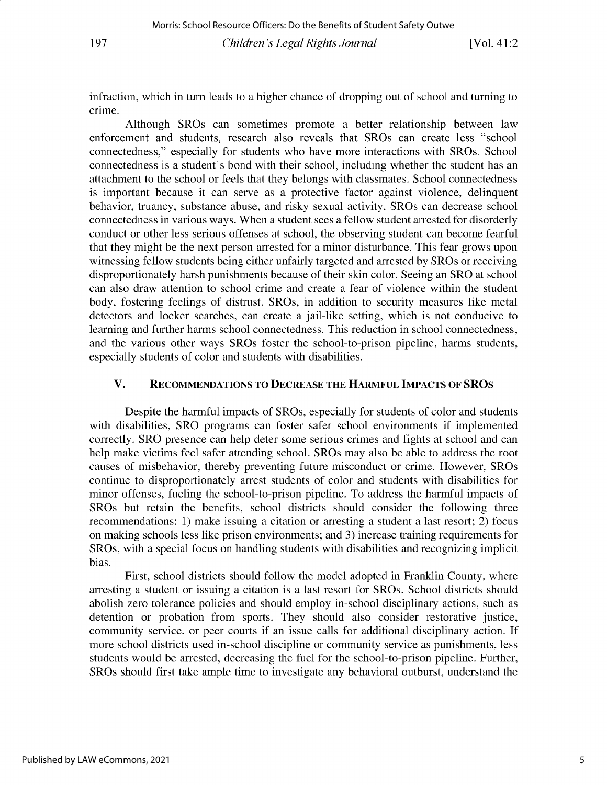**infraction, which in turn leads to a higher chance of dropping out of school and turning to crime.**

**Although SROs can sometimes promote a better relationship between law enforcement and students, research also reveals that SROs can create less "school connectedness," especially for students who have more interactions with SROs. School connectedness is a student's bond with their school, including whether the student has an attachment to the school or feels that they belongs with classmates. School connectedness is important because it can serve as a protective factor against violence, delinquent behavior, truancy, substance abuse, and risky sexual activity. SROs can decrease school connectedness in various ways. When a student sees a fellow student arrested for disorderly conduct or other less serious offenses at school, the observing student can become fearful that they might be the next person arrested for a minor disturbance. This fear grows upon witnessing fellow students being either unfairly targeted and arrested by SROs or receiving disproportionately harsh punishments because of their skin color. Seeing an SRO at school can also draw attention to school crime and create a fear of violence within the student body, fostering feelings of distrust. SROs, in addition to security measures like metal detectors and locker searches, can create a jail-like setting, which is not conducive to learning and further harms school connectedness. This reduction in school connectedness,** and the various other ways SROs foster the school-to-prison pipeline, harms students, especially students of color and students with disabilities.

#### **V. RECOMMENDATIONS TO DECREASE THE HARMFUL IMPACTS OF SROS**

**Despite the harmful impacts of SROs, especially for students of color and students with disabilities, SRO programs can foster safer school environments if implemented correctly. SRO presence can help deter some serious crimes and fights at school and can help make victims feel safer attending school. SROs may also be able to address the root causes of misbehavior, thereby preventing future misconduct or crime. However, SROs** continue to disproportionately arrest students of color and students with disabilities for **minor offenses, fueling the school-to-prison pipeline. To address the harmful impacts of** SROs but retain the benefits, school districts should consider the following three **recommendations: 1) make issuing a citation or arresting a student a last resort; 2) focus on making schools less like prison environments; and 3) increase training requirements for** SROs, with a special focus on handling students with disabilities and recognizing implicit **bias.**

First, school districts should follow the model adopted in Franklin County, where **arresting a student or issuing a citation is a last resort for SROs. School districts should abolish zero tolerance policies and should employ in-school disciplinary actions, such as detention or probation from sports. They should also consider restorative justice, community service, or peer courts if an issue calls for additional disciplinary action. If more school districts used in-school discipline or community service as punishments, less** students would be arrested, decreasing the fuel for the school-to-prison pipeline. Further, **SROs should first take ample time to investigate any behavioral outburst, understand the**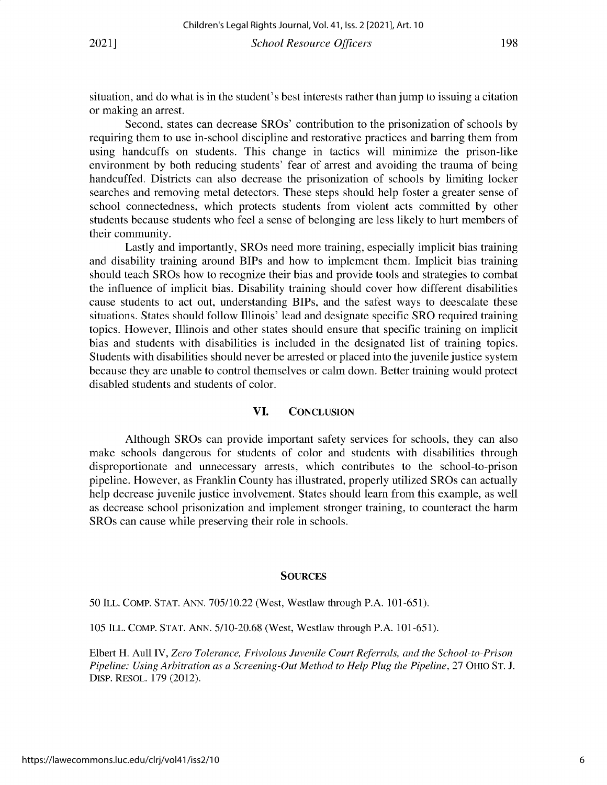situation, and do what is in the student's best interests rather than jump to issuing a citation or making an arrest.

Second, states can decrease SROs' contribution to the prisonization of schools by requiring them to use in-school discipline and restorative practices and barring them from using handcuffs on students. This change in tactics will minimize the prison-like environment by both reducing students' fear of arrest and avoiding the trauma of being handcuffed. Districts can also decrease the prisonization of schools by limiting locker searches and removing metal detectors. These steps should help foster a greater sense of school connectedness, which protects students from violent acts committed by other students because students who feel a sense of belonging are less likely to hurt members of their community.

Lastly and importantly, SROs need more training, especially implicit bias training and disability training around BIPs and how to implement them. Implicit bias training should teach SROs how to recognize their bias and provide tools and strategies to combat the influence of implicit bias. Disability training should cover how different disabilities cause students to act out, understanding BIPs, and the safest ways to deescalate these situations. States should follow Illinois' lead and designate specific SRO required training topics. However, Illinois and other states should ensure that specific training on implicit bias and students with disabilities is included in the designated list of training topics. Students with disabilities should never be arrested or placed into the juvenile justice system because they are unable to control themselves or calm down. Better training would protect disabled students and students of color.

#### **VI.** CONCLUSION

Although SROs can provide important safety services for schools, they can also make schools dangerous for students of color and students with disabilities through disproportionate and unnecessary arrests, which contributes to the school-to-prison pipeline. However, as Franklin County has illustrated, properly utilized SROs can actually help decrease juvenile justice involvement. States should learn from this example, as well as decrease school prisonization and implement stronger training, to counteract the harm SROs can cause while preserving their role in schools.

#### **SOURCES**

50 ILL. COMP. STAT. ANN. 705/10.22 (West, Westlaw through P.A. 101-651).

105 ILL. COMP. STAT. ANN. 5/10-20.68 (West, Westlaw through P.A. 101-651).

Elbert H. Aull IV, *Zero Tolerance, Frivolous Juvenile Court Referrals, and the School-to-Prison Pipeline: Using Arbitration as a Screening-Out Method to Help Plug the Pipeline,* 27 OHIO ST. J. DISP. RESOL. 179 (2012).